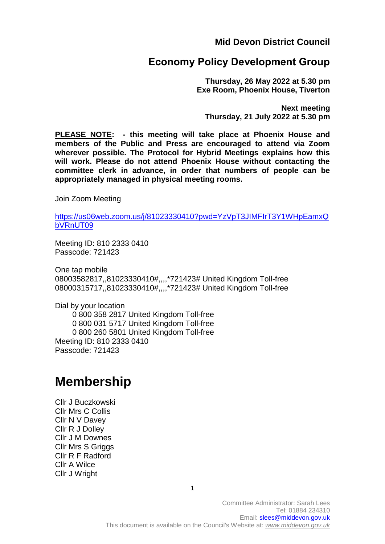**Mid Devon District Council**

# **Economy Policy Development Group**

**Thursday, 26 May 2022 at 5.30 pm Exe Room, Phoenix House, Tiverton**

**Next meeting Thursday, 21 July 2022 at 5.30 pm**

**PLEASE NOTE: - this meeting will take place at Phoenix House and members of the Public and Press are encouraged to attend via Zoom wherever possible. The Protocol for Hybrid Meetings explains how this will work. Please do not attend Phoenix House without contacting the committee clerk in advance, in order that numbers of people can be appropriately managed in physical meeting rooms.** 

Join Zoom Meeting

[https://us06web.zoom.us/j/81023330410?pwd=YzVpT3JIMFIrT3Y1WHpEamxQ](https://us06web.zoom.us/j/81023330410?pwd=YzVpT3JIMFIrT3Y1WHpEamxQbVRnUT09) [bVRnUT09](https://us06web.zoom.us/j/81023330410?pwd=YzVpT3JIMFIrT3Y1WHpEamxQbVRnUT09)

Meeting ID: 810 2333 0410 Passcode: 721423

One tap mobile 08003582817,,81023330410#,,,,\*721423# United Kingdom Toll-free 08000315717,,81023330410#,,,,\*721423# United Kingdom Toll-free

Dial by your location 0 800 358 2817 United Kingdom Toll-free 0 800 031 5717 United Kingdom Toll-free 0 800 260 5801 United Kingdom Toll-free Meeting ID: 810 2333 0410 Passcode: 721423

# **Membership**

Cllr J Buczkowski Cllr Mrs C Collis Cllr N V Davey Cllr R J Dolley Cllr J M Downes Cllr Mrs S Griggs Cllr R F Radford Cllr A Wilce Cllr J Wright

1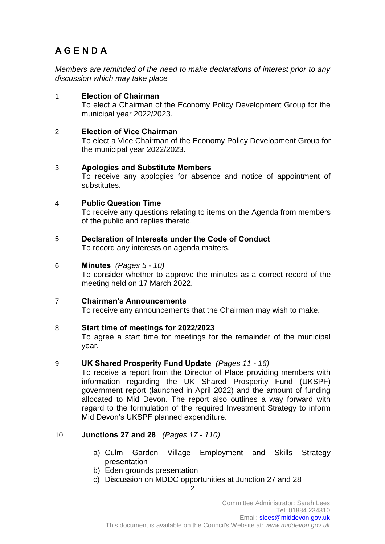# **A G E N D A**

*Members are reminded of the need to make declarations of interest prior to any discussion which may take place*

1 **Election of Chairman**  To elect a Chairman of the Economy Policy Development Group for the municipal year 2022/2023.

# 2 **Election of Vice Chairman**

To elect a Vice Chairman of the Economy Policy Development Group for the municipal year 2022/2023.

# 3 **Apologies and Substitute Members**

To receive any apologies for absence and notice of appointment of substitutes.

#### 4 **Public Question Time**

To receive any questions relating to items on the Agenda from members of the public and replies thereto.

5 **Declaration of Interests under the Code of Conduct** 

To record any interests on agenda matters.

#### 6 **Minutes** *(Pages 5 - 10)*

To consider whether to approve the minutes as a correct record of the meeting held on 17 March 2022.

# 7 **Chairman's Announcements**

To receive any announcements that the Chairman may wish to make.

#### 8 **Start time of meetings for 2022/2023**

To agree a start time for meetings for the remainder of the municipal year.

#### 9 **UK Shared Prosperity Fund Update** *(Pages 11 - 16)*

To receive a report from the Director of Place providing members with information regarding the UK Shared Prosperity Fund (UKSPF) government report (launched in April 2022) and the amount of funding allocated to Mid Devon. The report also outlines a way forward with regard to the formulation of the required Investment Strategy to inform Mid Devon's UKSPF planned expenditure.

# 10 **Junctions 27 and 28** *(Pages 17 - 110)*

- a) Culm Garden Village Employment and Skills Strategy presentation
- b) Eden grounds presentation
- c) Discussion on MDDC opportunities at Junction 27 and 28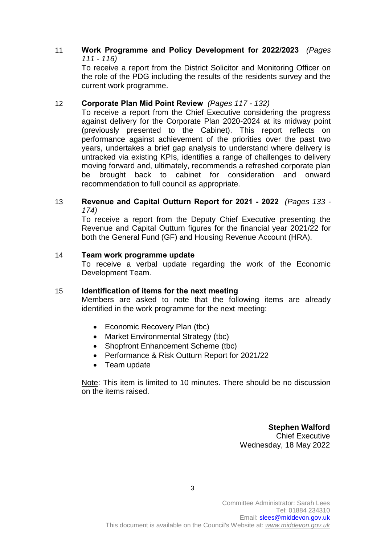# 11 **Work Programme and Policy Development for 2022/2023** *(Pages 111 - 116)*

To receive a report from the District Solicitor and Monitoring Officer on the role of the PDG including the results of the residents survey and the current work programme.

# 12 **Corporate Plan Mid Point Review** *(Pages 117 - 132)*

To receive a report from the Chief Executive considering the progress against delivery for the Corporate Plan 2020-2024 at its midway point (previously presented to the Cabinet). This report reflects on performance against achievement of the priorities over the past two years, undertakes a brief gap analysis to understand where delivery is untracked via existing KPIs, identifies a range of challenges to delivery moving forward and, ultimately, recommends a refreshed corporate plan be brought back to cabinet for consideration and onward recommendation to full council as appropriate.

### 13 **Revenue and Capital Outturn Report for 2021 - 2022** *(Pages 133 - 174)*

To receive a report from the Deputy Chief Executive presenting the Revenue and Capital Outturn figures for the financial year 2021/22 for both the General Fund (GF) and Housing Revenue Account (HRA).

# 14 **Team work programme update**

To receive a verbal update regarding the work of the Economic Development Team.

# 15 **Identification of items for the next meeting**

Members are asked to note that the following items are already identified in the work programme for the next meeting:

- Economic Recovery Plan (tbc)
- Market Environmental Strategy (tbc)
- Shopfront Enhancement Scheme (tbc)
- Performance & Risk Outturn Report for 2021/22
- Team update

Note: This item is limited to 10 minutes. There should be no discussion on the items raised.

> **Stephen Walford** Chief Executive Wednesday, 18 May 2022